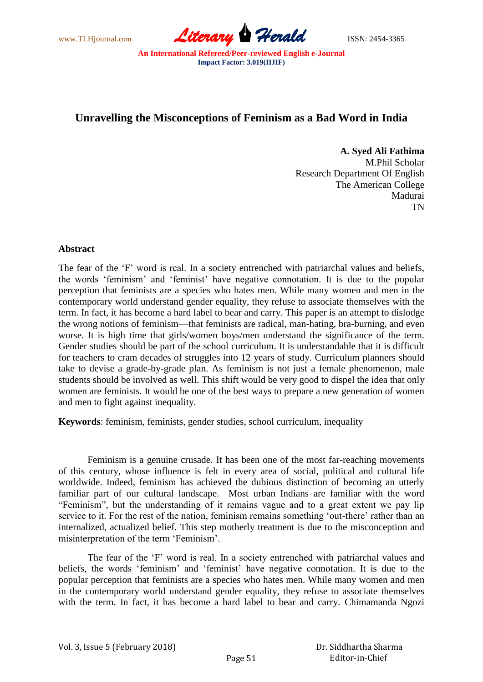

## **Unravelling the Misconceptions of Feminism as a Bad Word in India**

**A. Syed Ali Fathima**

M.Phil Scholar Research Department Of English The American College Madurai TN

## **Abstract**

The fear of the 'F' word is real. In a society entrenched with patriarchal values and beliefs, the words ‗feminism' and ‗feminist' have negative connotation. It is due to the popular perception that feminists are a species who hates men. While many women and men in the contemporary world understand gender equality, they refuse to associate themselves with the term. In fact, it has become a hard label to bear and carry. This paper is an attempt to dislodge the wrong notions of feminism—that feminists are radical, man-hating, bra-burning, and even worse. It is high time that girls/women boys/men understand the significance of the term. Gender studies should be part of the school curriculum. It is understandable that it is difficult for teachers to cram decades of struggles into 12 years of study. Curriculum planners should take to devise a grade-by-grade plan. As feminism is not just a female phenomenon, male students should be involved as well. This shift would be very good to dispel the idea that only women are feminists. It would be one of the best ways to prepare a new generation of women and men to fight against inequality.

**Keywords**: feminism, feminists, gender studies, school curriculum, inequality

Feminism is a genuine crusade. It has been one of the most far-reaching movements of this century, whose influence is felt in every area of social, political and cultural life worldwide. Indeed, feminism has achieved the dubious distinction of becoming an utterly familiar part of our cultural landscape. Most urban Indians are familiar with the word "Feminism", but the understanding of it remains vague and to a great extent we pay lip service to it. For the rest of the nation, feminism remains something 'out-there' rather than an internalized, actualized belief. This step motherly treatment is due to the misconception and misinterpretation of the term 'Feminism'.

The fear of the 'F' word is real. In a society entrenched with patriarchal values and beliefs, the words 'feminism' and 'feminist' have negative connotation. It is due to the popular perception that feminists are a species who hates men. While many women and men in the contemporary world understand gender equality, they refuse to associate themselves with the term. In fact, it has become a hard label to bear and carry. Chimamanda Ngozi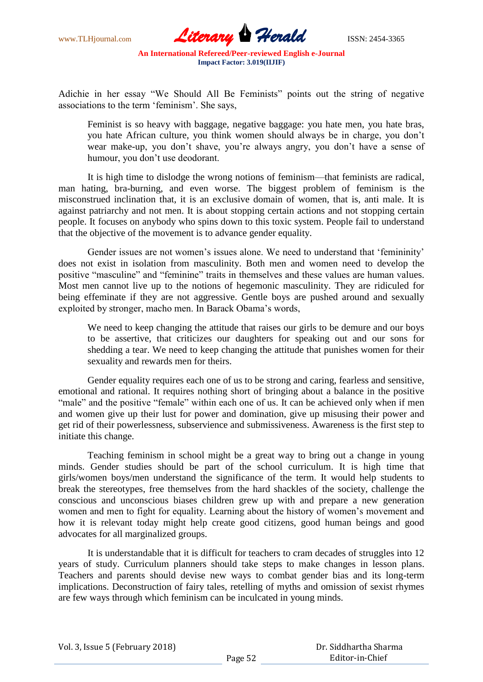

Adichie in her essay "We Should All Be Feminists" points out the string of negative associations to the term 'feminism'. She says,

Feminist is so heavy with baggage, negative baggage: you hate men, you hate bras, you hate African culture, you think women should always be in charge, you don't wear make-up, you don't shave, you're always angry, you don't have a sense of humour, you don't use deodorant.

It is high time to dislodge the wrong notions of feminism—that feminists are radical, man hating, bra-burning, and even worse. The biggest problem of feminism is the misconstrued inclination that, it is an exclusive domain of women, that is, anti male. It is against patriarchy and not men. It is about stopping certain actions and not stopping certain people. It focuses on anybody who spins down to this toxic system. People fail to understand that the objective of the movement is to advance gender equality.

Gender issues are not women's issues alone. We need to understand that 'femininity' does not exist in isolation from masculinity. Both men and women need to develop the positive "masculine" and "feminine" traits in themselves and these values are human values. Most men cannot live up to the notions of hegemonic masculinity. They are ridiculed for being effeminate if they are not aggressive. Gentle boys are pushed around and sexually exploited by stronger, macho men. In Barack Obama's words,

We need to keep changing the attitude that raises our girls to be demure and our boys to be assertive, that criticizes our daughters for speaking out and our sons for shedding a tear. We need to keep changing the attitude that punishes women for their sexuality and rewards men for theirs.

Gender equality requires each one of us to be strong and caring, fearless and sensitive, emotional and rational. It requires nothing short of bringing about a balance in the positive "male" and the positive "female" within each one of us. It can be achieved only when if men and women give up their lust for power and domination, give up misusing their power and get rid of their powerlessness, subservience and submissiveness. Awareness is the first step to initiate this change.

Teaching feminism in school might be a great way to bring out a change in young minds. Gender studies should be part of the school curriculum. It is high time that girls/women boys/men understand the significance of the term. It would help students to break the stereotypes, free themselves from the hard shackles of the society, challenge the conscious and unconscious biases children grew up with and prepare a new generation women and men to fight for equality. Learning about the history of women's movement and how it is relevant today might help create good citizens, good human beings and good advocates for all marginalized groups.

It is understandable that it is difficult for teachers to cram decades of struggles into 12 years of study. Curriculum planners should take steps to make changes in lesson plans. Teachers and parents should devise new ways to combat gender bias and its long-term implications. Deconstruction of fairy tales, retelling of myths and omission of sexist rhymes are few ways through which feminism can be inculcated in young minds.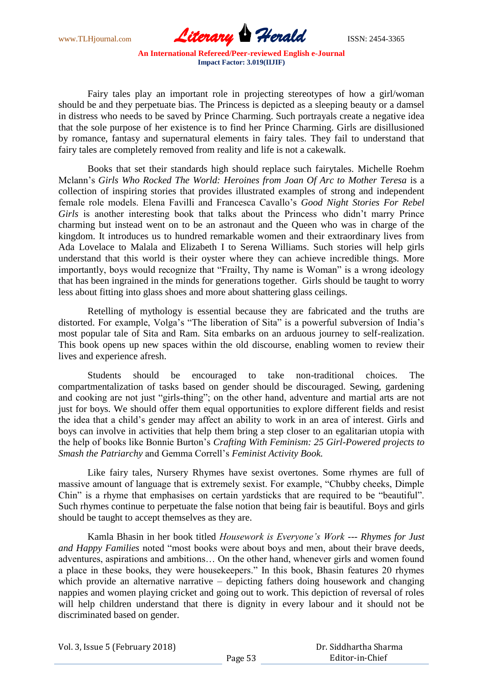

Fairy tales play an important role in projecting stereotypes of how a girl/woman should be and they perpetuate bias. The Princess is depicted as a sleeping beauty or a damsel in distress who needs to be saved by Prince Charming. Such portrayals create a negative idea that the sole purpose of her existence is to find her Prince Charming. Girls are disillusioned by romance, fantasy and supernatural elements in fairy tales. They fail to understand that fairy tales are completely removed from reality and life is not a cakewalk.

Books that set their standards high should replace such fairytales. Michelle Roehm Mclann's *Girls Who Rocked The World: Heroines from Joan Of Arc to Mother Teresa* is a collection of inspiring stories that provides illustrated examples of strong and independent female role models. Elena Favilli and Francesca Cavallo's *Good Night Stories For Rebel Girls* is another interesting book that talks about the Princess who didn't marry Prince charming but instead went on to be an astronaut and the Queen who was in charge of the kingdom. It introduces us to hundred remarkable women and their extraordinary lives from Ada Lovelace to Malala and Elizabeth I to Serena Williams. Such stories will help girls understand that this world is their oyster where they can achieve incredible things. More importantly, boys would recognize that "Frailty, Thy name is Woman" is a wrong ideology that has been ingrained in the minds for generations together. Girls should be taught to worry less about fitting into glass shoes and more about shattering glass ceilings.

Retelling of mythology is essential because they are fabricated and the truths are distorted. For example, Volga's "The liberation of Sita" is a powerful subversion of India's most popular tale of Sita and Ram. Sita embarks on an arduous journey to self-realization. This book opens up new spaces within the old discourse, enabling women to review their lives and experience afresh.

Students should be encouraged to take non-traditional choices. The compartmentalization of tasks based on gender should be discouraged. Sewing, gardening and cooking are not just "girls-thing"; on the other hand, adventure and martial arts are not just for boys. We should offer them equal opportunities to explore different fields and resist the idea that a child's gender may affect an ability to work in an area of interest. Girls and boys can involve in activities that help them bring a step closer to an egalitarian utopia with the help of books like Bonnie Burton's *Crafting With Feminism: 25 Girl-Powered projects to Smash the Patriarchy* and Gemma Correll's *Feminist Activity Book.*

Like fairy tales, Nursery Rhymes have sexist overtones. Some rhymes are full of massive amount of language that is extremely sexist. For example, "Chubby cheeks, Dimple Chin" is a rhyme that emphasises on certain yardsticks that are required to be "beautiful". Such rhymes continue to perpetuate the false notion that being fair is beautiful. Boys and girls should be taught to accept themselves as they are.

Kamla Bhasin in her book titled *Housework is Everyone's Work --- Rhymes for Just and Happy Families* noted "most books were about boys and men, about their brave deeds, adventures, aspirations and ambitions… On the other hand, whenever girls and women found a place in these books, they were housekeepers." In this book, Bhasin features 20 rhymes which provide an alternative narrative – depicting fathers doing housework and changing nappies and women playing cricket and going out to work. This depiction of reversal of roles will help children understand that there is dignity in every labour and it should not be discriminated based on gender.